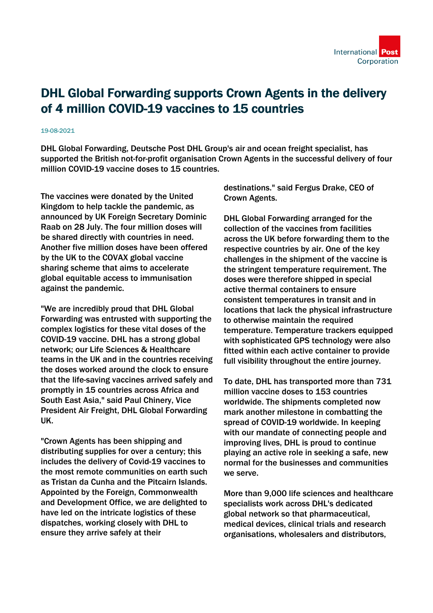## DHL Global Forwarding supports Crown Agents in the delivery of 4 million COVID-19 vaccines to 15 countries

## 19-08-2021

DHL Global Forwarding, Deutsche Post DHL Group's air and ocean freight specialist, has supported the British not-for-profit organisation Crown Agents in the successful delivery of four million COVID-19 vaccine doses to 15 countries.

The vaccines were donated by the United Kingdom to help tackle the pandemic, as announced by UK Foreign Secretary Dominic Raab on 28 July. The four million doses will be shared directly with countries in need. Another five million doses have been offered by the UK to the COVAX global vaccine sharing scheme that aims to accelerate global equitable access to immunisation against the pandemic.

"We are incredibly proud that DHL Global Forwarding was entrusted with supporting the complex logistics for these vital doses of the COVID-19 vaccine. DHL has a strong global network; our Life Sciences & Healthcare teams in the UK and in the countries receiving the doses worked around the clock to ensure that the life-saving vaccines arrived safely and promptly in 15 countries across Africa and South East Asia," said Paul Chinery, Vice President Air Freight, DHL Global Forwarding UK.

"Crown Agents has been shipping and distributing supplies for over a century; this includes the delivery of Covid-19 vaccines to the most remote communities on earth such as Tristan da Cunha and the Pitcairn Islands. Appointed by the Foreign, Commonwealth and Development Office, we are delighted to have led on the intricate logistics of these dispatches, working closely with DHL to ensure they arrive safely at their

destinations." said Fergus Drake, CEO of Crown Agents.

DHL Global Forwarding arranged for the collection of the vaccines from facilities across the UK before forwarding them to the respective countries by air. One of the key challenges in the shipment of the vaccine is the stringent temperature requirement. The doses were therefore shipped in special active thermal containers to ensure consistent temperatures in transit and in locations that lack the physical infrastructure to otherwise maintain the required temperature. Temperature trackers equipped with sophisticated GPS technology were also fitted within each active container to provide full visibility throughout the entire journey.

To date, DHL has transported more than 731 million vaccine doses to 153 countries worldwide. The shipments completed now mark another milestone in combatting the spread of COVID-19 worldwide. In keeping with our mandate of connecting people and improving lives, DHL is proud to continue playing an active role in seeking a safe, new normal for the businesses and communities we serve.

More than 9,000 life sciences and healthcare specialists work across DHL's dedicated global network so that pharmaceutical, medical devices, clinical trials and research organisations, wholesalers and distributors,